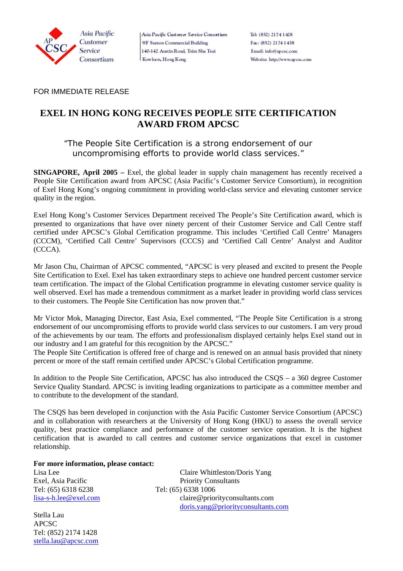

Asia Pacific Custaner Service Consortium 9/F Surson Commercial Building 140-142 Austin Road, Tsim Sha Tsui Kowloon, Hong Kong

Tel: (852) 2174 1428 Fax: (852) 2174 1438 Email: info@apcsc.com Website: http://www.ap.csc.com

FOR IMMEDIATE RELEASE

# **EXEL IN HONG KONG RECEIVES PEOPLE SITE CERTIFICATION AWARD FROM APCSC**

### *"The People Site Certification is a strong endorsement of our uncompromising efforts to provide world class services."*

**SINGAPORE, April 2005** – Exel, the global leader in supply chain management has recently received a People Site Certification award from APCSC (Asia Pacific's Customer Service Consortium), in recognition of Exel Hong Kong's ongoing commitment in providing world-class service and elevating customer service quality in the region.

Exel Hong Kong's Customer Services Department received The People's Site Certification award, which is presented to organizations that have over ninety percent of their Customer Service and Call Centre staff certified under APCSC's Global Certification programme. This includes 'Certified Call Centre' Managers (CCCM), 'Certified Call Centre' Supervisors (CCCS) and 'Certified Call Centre' Analyst and Auditor (CCCA).

Mr Jason Chu, Chairman of APCSC commented, "APCSC is very pleased and excited to present the People Site Certification to Exel. Exel has taken extraordinary steps to achieve one hundred percent customer service team certification. The impact of the Global Certification programme in elevating customer service quality is well observed. Exel has made a tremendous commitment as a market leader in providing world class services to their customers. The People Site Certification has now proven that."

Mr Victor Mok, Managing Director, East Asia, Exel commented, "The People Site Certification is a strong endorsement of our uncompromising efforts to provide world class services to our customers. I am very proud of the achievements by our team. The efforts and professionalism displayed certainly helps Exel stand out in our industry and I am grateful for this recognition by the APCSC."

The People Site Certification is offered free of charge and is renewed on an annual basis provided that ninety percent or more of the staff remain certified under APCSC's Global Certification programme.

In addition to the People Site Certification, APCSC has also introduced the CSQS – a 360 degree Customer Service Quality Standard. APCSC is inviting leading organizations to participate as a committee member and to contribute to the development of the standard.

The CSQS has been developed in conjunction with the Asia Pacific Customer Service Consortium (APCSC) and in collaboration with researchers at the University of Hong Kong (HKU) to assess the overall service quality, best practice compliance and performance of the customer service operation. It is the highest certification that is awarded to call centres and customer service organizations that excel in customer relationship.

**For more information, please contact:** 

Tel: (65) 6318 6238 Tel: (65) 6338 1006

Stella Lau APCSC Tel: (852) 2174 1428 [stella.lau@apcsc.com](mailto:stella.lau@apcsc.com)

Lisa Lee Claire Whittleston/Doris Yang Exel, Asia Pacific **Priority Consultants** [lisa-s-h.lee@exel.com](mailto:lisa-s-h.lee@exel.com) claire@priorityconsultants.com [doris.yang@priorityconsultants.com](mailto:doris.yang@priorityconsultants.com)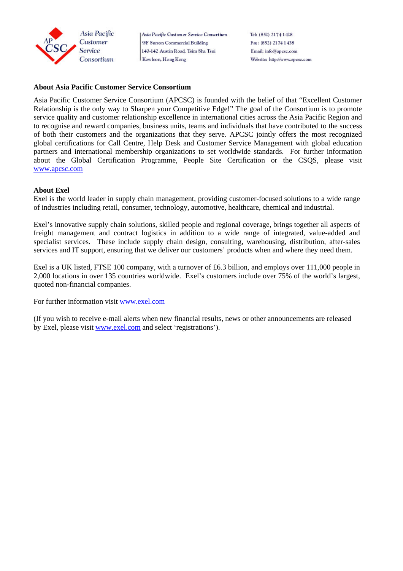

Asia Pacific Customer Service Consortium 9/F Surson Commercial Building 140-142 Austin Road, Tsim Sha Tsui Kowloon, Hong Kong

Tel: (852) 2174 1428 Fax: (852) 2174 1438 Email: info@apcsc.com Website: http://www.ap.csc.com

#### **About Asia Pacific Customer Service Consortium**

Asia Pacific Customer Service Consortium (APCSC) is founded with the belief of that "Excellent Customer Relationship is the only way to Sharpen your Competitive Edge!" The goal of the Consortium is to promote service quality and customer relationship excellence in international cities across the Asia Pacific Region and to recognise and reward companies, business units, teams and individuals that have contributed to the success of both their customers and the organizations that they serve. APCSC jointly offers the most recognized global certifications for Call Centre, Help Desk and Customer Service Management with global education partners and international membership organizations to set worldwide standards. For further information about the Global Certification Programme, People Site Certification or the CSQS, please visit [www.apcsc.com](http://www.apcsc.com/)

#### **About Exel**

Exel is the world leader in supply chain management, providing customer-focused solutions to a wide range of industries including retail, consumer, technology, automotive, healthcare, chemical and industrial.

Exel's innovative supply chain solutions, skilled people and regional coverage, brings together all aspects of freight management and contract logistics in addition to a wide range of integrated, value-added and specialist services. These include supply chain design, consulting, warehousing, distribution, after-sales services and IT support, ensuring that we deliver our customers' products when and where they need them.

Exel is a UK listed, FTSE 100 company, with a turnover of £6.3 billion, and employs over 111,000 people in 2,000 locations in over 135 countries worldwide. Exel's customers include over 75% of the world's largest, quoted non-financial companies.

For further information visit [www.exel.com](http://www.exel.com/)

(If you wish to receive e-mail alerts when new financial results, news or other announcements are released by Exel, please visit www.exel.com and select 'registrations').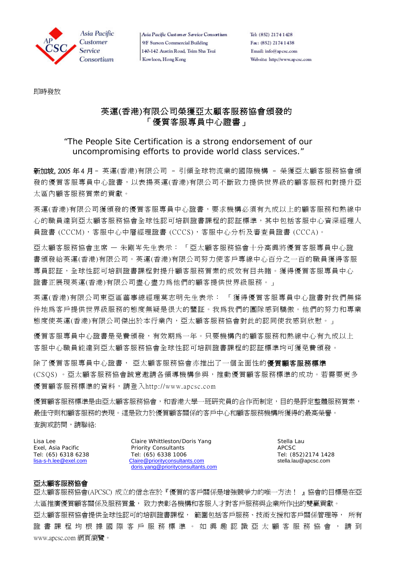

Asia Pacific Custamer Service Consortium 9/F Surson Commercial Building 140-142 Austin Road, Tsim Sha Tsui Kowloon, Hong Kong

Tel: (852) 2174 1428 Fax: (852) 2174 1438 Email: info@apcsc.com Website: http://www.ap.csc.com

即時發放

## 英運(香港)有限公司榮獲亞太顧客服務協會頒發的 「優質客服專員中心證書」

### *"The People Site Certification is a strong endorsement of our uncompromising efforts to provide world class services."*

新加坡, 2005 年 4 月– 英運(香港)有限公司 – 引領全球物流業的國際機構 – 榮獲亞太顧客服務協會頒 發的優質客服專員中心證書,以表揚英運(香港)有限公司不斷致力提供世界級的顧客服務和對提升亞 太區內顧客服務質素的貢獻。

英運(香港)有限公司獲頒發的優質客服專員中心證書,要求機構必須有九成以上的顧客服務和熱線中 心的職員達到亞太顧客服務協會全球性認可培訓證書課程的認証標準,其中包括客服中心資深經理人 員證書 (CCCM),客服中心中層經理證書 (CCCS),客服中心分析及審查員證書 (CCCA)。

亞太顧客服務協會主席 — 朱剛岑先生表示: 「亞太顧客服務協會十分高興將優質客服專員中心證 書頒發給英運(香港)有限公司。英運(香港)有限公司努力使客戶專線中心百分之一百的職員獲得客服 專員認証,全球性認可培訓證書課程對提升顧客服務質素的成效有目共睹。獲得優質客服專員中心 證書正展現英運(香港)有限公司盡心盡力為他們的顧客提供世界級服務。」

英運(香港)有限公司東亞區菙事總經理莫志明先生表示: 「獲得優質客服專員中心證書對我們無條 件地為客戶提供世界級服務的態度無疑是很大的鑒証。我為我們的團隊感到驕傲。他們的努力和專業 態度使英運(香港)有限公司傑出於本行業內,亞太顧客服務協會對此的認同使我感到欣慰。」

優質客服專員中心證書是免費頒發,有效期為一年。只要機構內的顧客服務和熱線中心有九成以上 客服中心職員能達到亞太顧客服務協會全球性認可培訓證書課程的認証標準均可獲免費頒發。

除了優質客服專員中心證書, 亞太顧客服務協會亦推出了一個全面性的**優質顧客服務標準** (CSQS) 。亞太顧客服務協會誠意邀請各領導機構參與,推動優質顧客服務標準的成功。若需要更多 優質顧客服務標準的資料,請登入http://www.apcsc.com

優質顧客服務博會,和香港大學一班研究員的合作而制定,目的是評定整體服務質素, 最佳守則和顧客服務的表現。這是致力於優質顧客關係的客戶中心和顧客服務機構所獲得的最高榮譽。 查詢或訪問,請聯絡:

Lisa Lee Claire Whittleston/Doris Yang Claire Whittleston/Doris Yang Stella Lau Exel, Asia Pacific **Priority Consultants Priority Consultants** APCSC Tel: (65) 6318 6238 Tel: (65) 6338 1006 Tel: (852)2174 1428 [lisa-s-h.lee@exel.com](mailto:lisa-s-h.lee@exel.com) [Claire@priorityconsultants.com](mailto:Claire@priorityconsultants.com) stella.lau@apcsc.com [doris.yang@priorityconsultants.com](mailto:doris.yang@priorityconsultants.com)

### 亞太顧客服務協會

亞太顧客服務協會(APCSC) 成立的信念在於『優質的客戶關係是增強競爭力的唯一方法! 』協會的目標是在亞 太區推廣優質顧客關係及服務質量, 致力表彰各機構和客服人才對客戶服務與企業所作出的雙贏貢獻。 亞太顧客服務協會提供全球性認可的培訓證書課程, 範圍包括客戶服務、技術支援和客戶關係管理等, 所有 證 書 課 程 均 根 據 國 際 客 戶 服 務 標 準 。 如 興 趣 認 識 亞 太 顧 客 服 務 協 會 , 請 到 www.apcsc.com 網頁瀏覽。